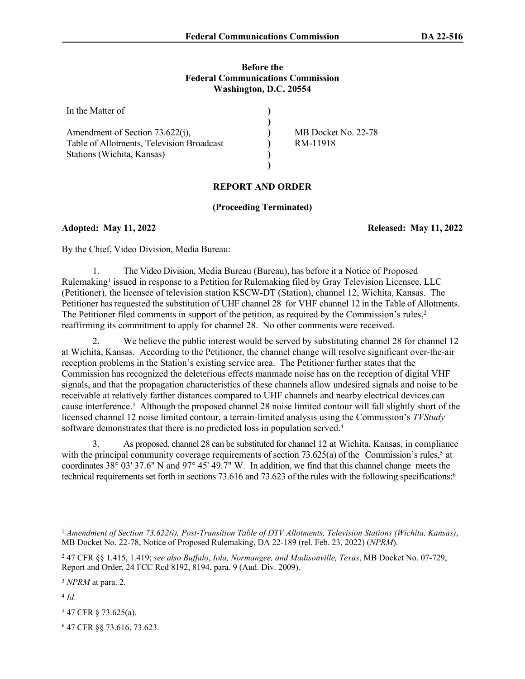### **Before the Federal Communications Commission Washington, D.C. 20554**

| In the Matter of                          |                     |
|-------------------------------------------|---------------------|
|                                           |                     |
| Amendment of Section 73.622(j),           | MB Docket No. 22-78 |
| Table of Allotments, Television Broadcast | RM-11918            |
| Stations (Wichita, Kansas)                |                     |
|                                           |                     |

# **REPORT AND ORDER**

# **(Proceeding Terminated)**

**Adopted: May 11, 2022 Released: May 11, 2022**

By the Chief, Video Division, Media Bureau:

1. The Video Division, Media Bureau (Bureau), has before it a Notice of Proposed Rulemaking<sup>1</sup> issued in response to a Petition for Rulemaking filed by Gray Television Licensee, LLC (Petitioner), the licensee of television station KSCW-DT (Station), channel 12, Wichita, Kansas. The Petitioner has requested the substitution of UHF channel 28 for VHF channel 12 in the Table of Allotments. The Petitioner filed comments in support of the petition, as required by the Commission's rules,<sup>2</sup> reaffirming its commitment to apply for channel 28. No other comments were received.

2. We believe the public interest would be served by substituting channel 28 for channel 12 at Wichita, Kansas. According to the Petitioner, the channel change will resolve significant over-the-air reception problems in the Station's existing service area. The Petitioner further states that the Commission has recognized the deleterious effects manmade noise has on the reception of digital VHF signals, and that the propagation characteristics of these channels allow undesired signals and noise to be receivable at relatively farther distances compared to UHF channels and nearby electrical devices can cause interference.<sup>3</sup> Although the proposed channel 28 noise limited contour will fall slightly short of the licensed channel 12 noise limited contour, a terrain-limited analysis using the Commission's *TVStudy* software demonstrates that there is no predicted loss in population served.<sup>4</sup>

3. As proposed, channel 28 can be substituted for channel 12 at Wichita, Kansas, in compliance with the principal community coverage requirements of section 73.625(a) of the Commission's rules,<sup>5</sup> at coordinates 38° 03' 37.6" N and 97° 45' 49.7" W. In addition, we find that this channel change meets the technical requirements set forth in sections 73.616 and 73.623 of the rules with the following specifications:<sup>6</sup>

4 *Id*.

5 47 CFR § 73.625(a).

6 47 CFR §§ 73.616, 73.623.

<sup>1</sup>  *Amendment of Section 73.622(i), Post-Transition Table of DTV Allotments, Television Stations (Wichita, Kansas)*, MB Docket No. 22-78, Notice of Proposed Rulemaking, DA 22-189 (rel. Feb. 23, 2022) (*NPRM*).

<sup>2</sup> 47 CFR §§ 1.415, 1.419; *see also Buffalo, Iola, Normangee, and Madisonville, Texas*, MB Docket No. 07-729, Report and Order, 24 FCC Rcd 8192, 8194, para. 9 (Aud. Div. 2009).

<sup>3</sup> *NPRM* at para. 2.